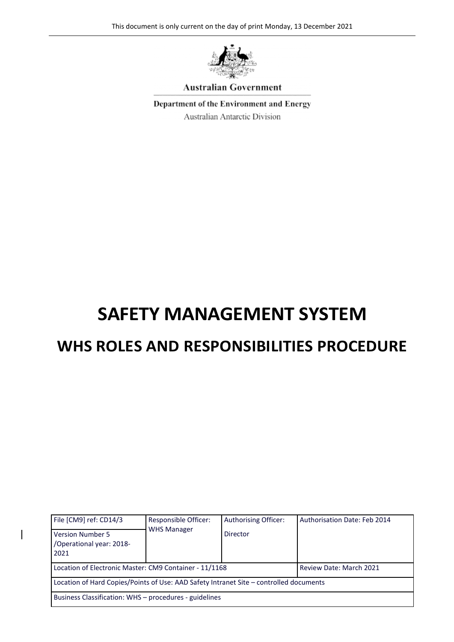

#### **Australian Government**

Department of the Environment and Energy

Australian Antarctic Division

# **SAFETY MANAGEMENT SYSTEM**

## **WHS ROLES AND RESPONSIBILITIES PROCEDURE**

| File [CM9] ref: CD14/3                                                                 | <b>Responsible Officer:</b> | Authorising Officer: | Authorisation Date: Feb 2014 |  |  |  |
|----------------------------------------------------------------------------------------|-----------------------------|----------------------|------------------------------|--|--|--|
| <b>Version Number 5</b><br>/Operational year: 2018-<br>2021                            | <b>WHS Manager</b>          | Director             |                              |  |  |  |
| Location of Electronic Master: CM9 Container - 11/1168                                 |                             |                      | Review Date: March 2021      |  |  |  |
| Location of Hard Copies/Points of Use: AAD Safety Intranet Site – controlled documents |                             |                      |                              |  |  |  |
| Business Classification: WHS - procedures - guidelines                                 |                             |                      |                              |  |  |  |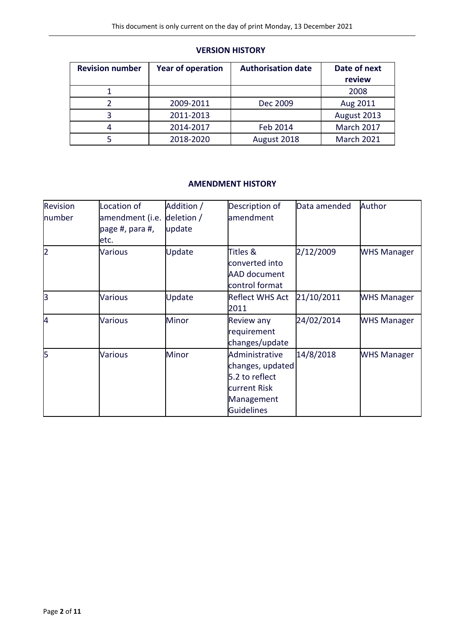#### **VERSION HISTORY**

| <b>Revision number</b> | <b>Year of operation</b> | <b>Authorisation date</b> | Date of next      |  |
|------------------------|--------------------------|---------------------------|-------------------|--|
|                        |                          |                           | review            |  |
|                        |                          |                           | 2008              |  |
|                        | 2009-2011                | Dec 2009                  | Aug 2011          |  |
|                        | 2011-2013                |                           | August 2013       |  |
|                        | 2014-2017                | Feb 2014                  | March 2017        |  |
|                        | 2018-2020                | August 2018               | <b>March 2021</b> |  |

#### **AMENDMENT HISTORY**

| Revision<br>number | ocation of<br>amendment (i.e.<br>page #, para #,<br>etc. | Addition /<br>deletion /<br>update | Description of<br>amendment                                                                             | Data amended | Author             |  |
|--------------------|----------------------------------------------------------|------------------------------------|---------------------------------------------------------------------------------------------------------|--------------|--------------------|--|
| $\overline{2}$     | <b>Various</b>                                           | Update                             | Titles &<br>converted into<br><b>AAD document</b><br>control format                                     | 2/12/2009    | <b>WHS Manager</b> |  |
| l3                 | <b>Various</b>                                           | Update                             | Reflect WHS Act<br>2011                                                                                 | 21/10/2011   | <b>WHS Manager</b> |  |
| 4                  | <b>Various</b>                                           | <b>Minor</b>                       | Review any<br>requirement<br>changes/update                                                             | 24/02/2014   | <b>WHS Manager</b> |  |
| 5                  | <b>Various</b>                                           | <b>Minor</b>                       | Administrative<br>changes, updated<br>5.2 to reflect<br>current Risk<br>Management<br><b>Guidelines</b> | 14/8/2018    | <b>WHS Manager</b> |  |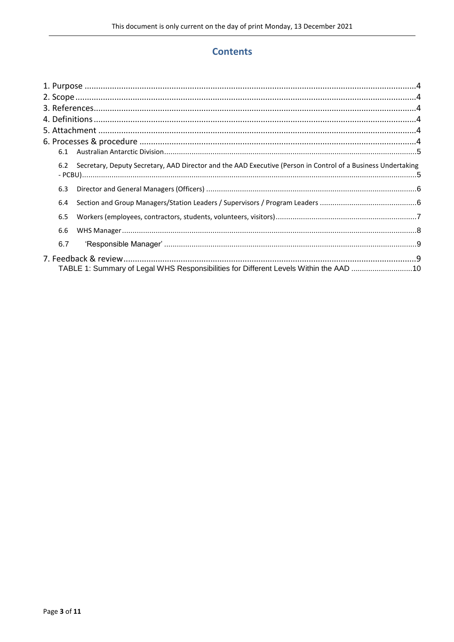#### **Contents**

| 6.2 Secretary, Deputy Secretary, AAD Director and the AAD Executive (Person in Control of a Business Undertaking |  |
|------------------------------------------------------------------------------------------------------------------|--|
| 6.3                                                                                                              |  |
| 6.4                                                                                                              |  |
| 6.5                                                                                                              |  |
| 6.6                                                                                                              |  |
| 6.7                                                                                                              |  |
|                                                                                                                  |  |
| TABLE 1: Summary of Legal WHS Responsibilities for Different Levels Within the AAD 10                            |  |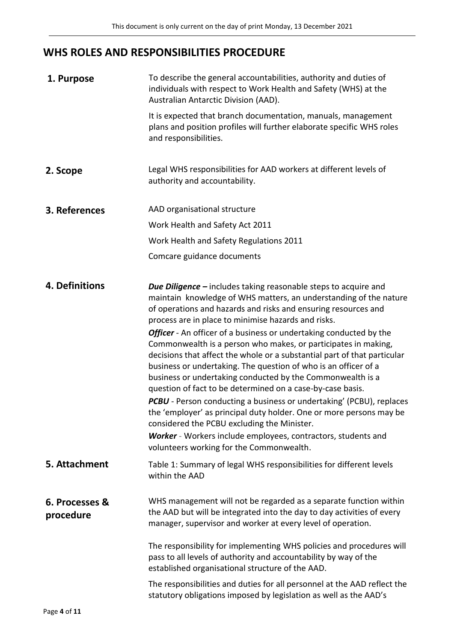### **WHS ROLES AND RESPONSIBILITIES PROCEDURE**

<span id="page-3-5"></span><span id="page-3-4"></span><span id="page-3-3"></span><span id="page-3-2"></span><span id="page-3-1"></span><span id="page-3-0"></span>

| 1. Purpose                  | To describe the general accountabilities, authority and duties of<br>individuals with respect to Work Health and Safety (WHS) at the<br>Australian Antarctic Division (AAD).                                                                                                                                                                                                                                                                                                                                                                                                                                                                                                                                                                                                                                                                                                                                                                                                                       |
|-----------------------------|----------------------------------------------------------------------------------------------------------------------------------------------------------------------------------------------------------------------------------------------------------------------------------------------------------------------------------------------------------------------------------------------------------------------------------------------------------------------------------------------------------------------------------------------------------------------------------------------------------------------------------------------------------------------------------------------------------------------------------------------------------------------------------------------------------------------------------------------------------------------------------------------------------------------------------------------------------------------------------------------------|
|                             | It is expected that branch documentation, manuals, management<br>plans and position profiles will further elaborate specific WHS roles<br>and responsibilities.                                                                                                                                                                                                                                                                                                                                                                                                                                                                                                                                                                                                                                                                                                                                                                                                                                    |
| 2. Scope                    | Legal WHS responsibilities for AAD workers at different levels of<br>authority and accountability.                                                                                                                                                                                                                                                                                                                                                                                                                                                                                                                                                                                                                                                                                                                                                                                                                                                                                                 |
| 3. References               | AAD organisational structure                                                                                                                                                                                                                                                                                                                                                                                                                                                                                                                                                                                                                                                                                                                                                                                                                                                                                                                                                                       |
|                             | Work Health and Safety Act 2011                                                                                                                                                                                                                                                                                                                                                                                                                                                                                                                                                                                                                                                                                                                                                                                                                                                                                                                                                                    |
|                             | Work Health and Safety Regulations 2011                                                                                                                                                                                                                                                                                                                                                                                                                                                                                                                                                                                                                                                                                                                                                                                                                                                                                                                                                            |
|                             | Comcare guidance documents                                                                                                                                                                                                                                                                                                                                                                                                                                                                                                                                                                                                                                                                                                                                                                                                                                                                                                                                                                         |
| 4. Definitions              | <b>Due Diligence</b> – includes taking reasonable steps to acquire and<br>maintain knowledge of WHS matters, an understanding of the nature<br>of operations and hazards and risks and ensuring resources and<br>process are in place to minimise hazards and risks.<br>Officer - An officer of a business or undertaking conducted by the<br>Commonwealth is a person who makes, or participates in making,<br>decisions that affect the whole or a substantial part of that particular<br>business or undertaking. The question of who is an officer of a<br>business or undertaking conducted by the Commonwealth is a<br>question of fact to be determined on a case-by-case basis.<br>PCBU - Person conducting a business or undertaking' (PCBU), replaces<br>the 'employer' as principal duty holder. One or more persons may be<br>considered the PCBU excluding the Minister.<br>Worker - Workers include employees, contractors, students and<br>volunteers working for the Commonwealth. |
| 5. Attachment               | Table 1: Summary of legal WHS responsibilities for different levels<br>within the AAD                                                                                                                                                                                                                                                                                                                                                                                                                                                                                                                                                                                                                                                                                                                                                                                                                                                                                                              |
| 6. Processes &<br>procedure | WHS management will not be regarded as a separate function within<br>the AAD but will be integrated into the day to day activities of every<br>manager, supervisor and worker at every level of operation.                                                                                                                                                                                                                                                                                                                                                                                                                                                                                                                                                                                                                                                                                                                                                                                         |
|                             | The responsibility for implementing WHS policies and procedures will<br>pass to all levels of authority and accountability by way of the<br>established organisational structure of the AAD.                                                                                                                                                                                                                                                                                                                                                                                                                                                                                                                                                                                                                                                                                                                                                                                                       |
|                             | The responsibilities and duties for all personnel at the AAD reflect the<br>statutory obligations imposed by legislation as well as the AAD's                                                                                                                                                                                                                                                                                                                                                                                                                                                                                                                                                                                                                                                                                                                                                                                                                                                      |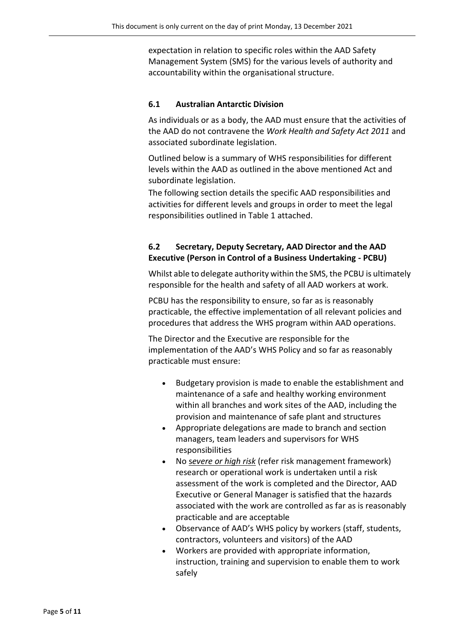expectation in relation to specific roles within the AAD Safety Management System (SMS) for the various levels of authority and accountability within the organisational structure.

#### <span id="page-4-0"></span>**6.1 Australian Antarctic Division**

As individuals or as a body, the AAD must ensure that the activities of the AAD do not contravene the *Work Health and Safety Act 2011* and associated subordinate legislation.

Outlined below is a summary of WHS responsibilities for different levels within the AAD as outlined in the above mentioned Act and subordinate legislation.

The following section details the specific AAD responsibilities and activities for different levels and groups in order to meet the legal responsibilities outlined in Table 1 attached.

#### <span id="page-4-1"></span>**6.2 Secretary, Deputy Secretary, AAD Director and the AAD Executive (Person in Control of a Business Undertaking - PCBU)**

Whilst able to delegate authority within the SMS, the PCBU is ultimately responsible for the health and safety of all AAD workers at work.

PCBU has the responsibility to ensure, so far as is reasonably practicable, the effective implementation of all relevant policies and procedures that address the WHS program within AAD operations.

The Director and the Executive are responsible for the implementation of the AAD's WHS Policy and so far as reasonably practicable must ensure:

- Budgetary provision is made to enable the establishment and maintenance of a safe and healthy working environment within all branches and work sites of the AAD, including the provision and maintenance of safe plant and structures
- Appropriate delegations are made to branch and section managers, team leaders and supervisors for WHS responsibilities
- No s*evere or high risk* (refer risk management framework) research or operational work is undertaken until a risk assessment of the work is completed and the Director, AAD Executive or General Manager is satisfied that the hazards associated with the work are controlled as far as is reasonably practicable and are acceptable
- Observance of AAD's WHS policy by workers (staff, students, contractors, volunteers and visitors) of the AAD
- Workers are provided with appropriate information, instruction, training and supervision to enable them to work safely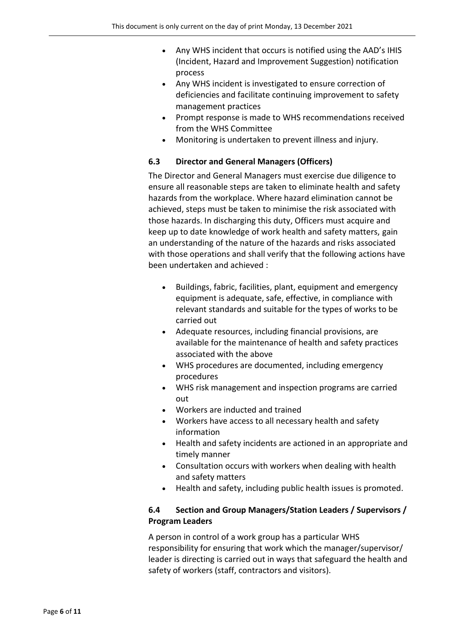- Any WHS incident that occurs is notified using the AAD's IHIS (Incident, Hazard and Improvement Suggestion) notification process
- Any WHS incident is investigated to ensure correction of deficiencies and facilitate continuing improvement to safety management practices
- Prompt response is made to WHS recommendations received from the WHS Committee
- Monitoring is undertaken to prevent illness and injury.

#### <span id="page-5-0"></span>**6.3 Director and General Managers (Officers)**

The Director and General Managers must exercise due diligence to ensure all reasonable steps are taken to eliminate health and safety hazards from the workplace. Where hazard elimination cannot be achieved, steps must be taken to minimise the risk associated with those hazards. In discharging this duty, Officers must acquire and keep up to date knowledge of work health and safety matters, gain an understanding of the nature of the hazards and risks associated with those operations and shall verify that the following actions have been undertaken and achieved :

- Buildings, fabric, facilities, plant, equipment and emergency equipment is adequate, safe, effective, in compliance with relevant standards and suitable for the types of works to be carried out
- Adequate resources, including financial provisions, are available for the maintenance of health and safety practices associated with the above
- WHS procedures are documented, including emergency procedures
- WHS risk management and inspection programs are carried out
- Workers are inducted and trained
- Workers have access to all necessary health and safety information
- Health and safety incidents are actioned in an appropriate and timely manner
- Consultation occurs with workers when dealing with health and safety matters
- Health and safety, including public health issues is promoted.

#### <span id="page-5-1"></span>**6.4 Section and Group Managers/Station Leaders / Supervisors / Program Leaders**

A person in control of a work group has a particular WHS responsibility for ensuring that work which the manager/supervisor/ leader is directing is carried out in ways that safeguard the health and safety of workers (staff, contractors and visitors).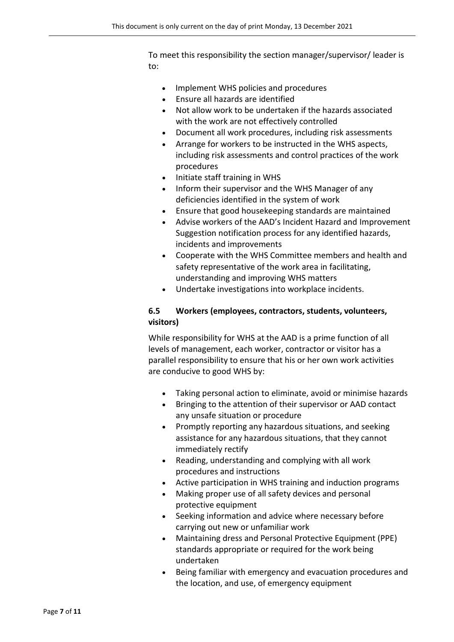To meet this responsibility the section manager/supervisor/ leader is to:

- Implement WHS policies and procedures
- Ensure all hazards are identified
- Not allow work to be undertaken if the hazards associated with the work are not effectively controlled
- Document all work procedures, including risk assessments
- Arrange for workers to be instructed in the WHS aspects, including risk assessments and control practices of the work procedures
- Initiate staff training in WHS
- Inform their supervisor and the WHS Manager of any deficiencies identified in the system of work
- Ensure that good housekeeping standards are maintained
- Advise workers of the AAD's Incident Hazard and Improvement Suggestion notification process for any identified hazards, incidents and improvements
- Cooperate with the WHS Committee members and health and safety representative of the work area in facilitating, understanding and improving WHS matters
- Undertake investigations into workplace incidents.

#### <span id="page-6-0"></span>**6.5 Workers (employees, contractors, students, volunteers, visitors)**

While responsibility for WHS at the AAD is a prime function of all levels of management, each worker, contractor or visitor has a parallel responsibility to ensure that his or her own work activities are conducive to good WHS by:

- Taking personal action to eliminate, avoid or minimise hazards
- Bringing to the attention of their supervisor or AAD contact any unsafe situation or procedure
- Promptly reporting any hazardous situations, and seeking assistance for any hazardous situations, that they cannot immediately rectify
- Reading, understanding and complying with all work procedures and instructions
- Active participation in WHS training and induction programs
- Making proper use of all safety devices and personal protective equipment
- Seeking information and advice where necessary before carrying out new or unfamiliar work
- Maintaining dress and Personal Protective Equipment (PPE) standards appropriate or required for the work being undertaken
- Being familiar with emergency and evacuation procedures and the location, and use, of emergency equipment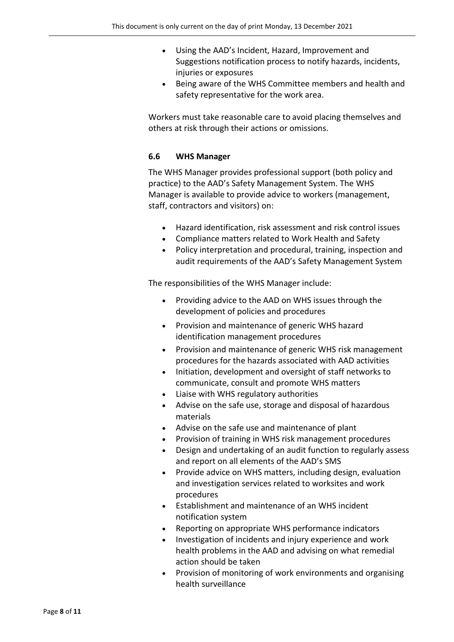- Using the AAD's Incident, Hazard, Improvement and Suggestions notification process to notify hazards, incidents, injuries or exposures
- Being aware of the WHS Committee members and health and safety representative for the work area.

Workers must take reasonable care to avoid placing themselves and others at risk through their actions or omissions.

#### <span id="page-7-0"></span>**6.6 WHS Manager**

The WHS Manager provides professional support (both policy and practice) to the AAD's Safety Management System. The WHS Manager is available to provide advice to workers (management, staff, contractors and visitors) on:

- Hazard identification, risk assessment and risk control issues
- Compliance matters related to Work Health and Safety
- Policy interpretation and procedural, training, inspection and audit requirements of the AAD's Safety Management System

The responsibilities of the WHS Manager include:

- Providing advice to the AAD on WHS issues through the development of policies and procedures
- Provision and maintenance of generic WHS hazard identification management procedures
- Provision and maintenance of generic WHS risk management procedures for the hazards associated with AAD activities
- Initiation, development and oversight of staff networks to communicate, consult and promote WHS matters
- Liaise with WHS regulatory authorities
- Advise on the safe use, storage and disposal of hazardous materials
- Advise on the safe use and maintenance of plant
- Provision of training in WHS risk management procedures
- Design and undertaking of an audit function to regularly assess and report on all elements of the AAD's SMS
- Provide advice on WHS matters, including design, evaluation and investigation services related to worksites and work procedures
- Establishment and maintenance of an WHS incident notification system
- Reporting on appropriate WHS performance indicators
- Investigation of incidents and injury experience and work health problems in the AAD and advising on what remedial action should be taken
- Provision of monitoring of work environments and organising health surveillance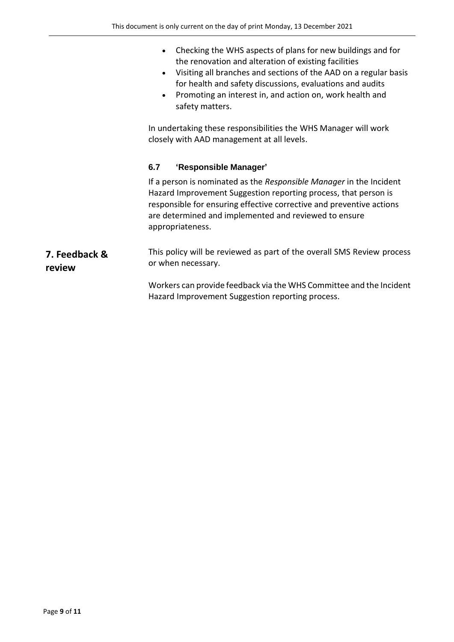- Checking the WHS aspects of plans for new buildings and for the renovation and alteration of existing facilities
- Visiting all branches and sections of the AAD on a regular basis for health and safety discussions, evaluations and audits
- Promoting an interest in, and action on, work health and safety matters.

In undertaking these responsibilities the WHS Manager will work closely with AAD management at all levels.

#### <span id="page-8-0"></span>**6.7 'Responsible Manager'**

If a person is nominated as the *Responsible Manager* in the Incident Hazard Improvement Suggestion reporting process, that person is responsible for ensuring effective corrective and preventive actions are determined and implemented and reviewed to ensure appropriateness.

#### <span id="page-8-1"></span>**7. Feedback & review** This policy will be reviewed as part of the overall SMS Review process or when necessary.

Workers can provide feedback via the WHS Committee and the Incident Hazard Improvement Suggestion reporting process.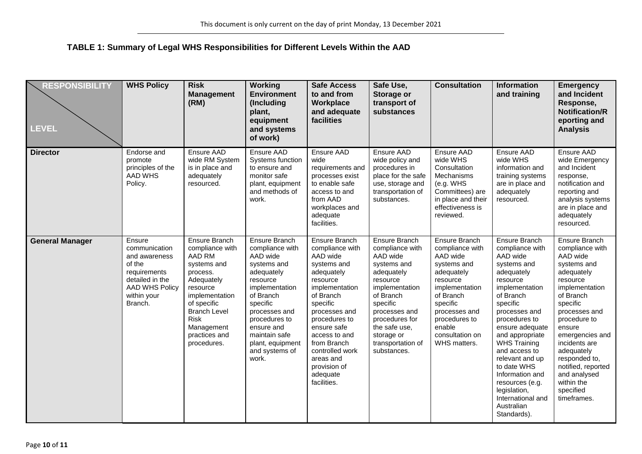#### **TABLE 1: Summary of Legal WHS Responsibilities for Different Levels Within the AAD**

<span id="page-9-0"></span>

| <b>RESPONSIBILITY</b><br><b>LEVEL</b> | <b>WHS Policy</b>                                                                                                                        | <b>Risk</b><br><b>Management</b><br>(RM)                                                                                                                                                                             | <b>Working</b><br><b>Environment</b><br>(Including<br>plant,<br>equipment<br>and systems<br>of work)                                                                                                                                             | <b>Safe Access</b><br>to and from<br>Workplace<br>and adequate<br>facilities                                                                                                                                                                                                                 | Safe Use,<br>Storage or<br>transport of<br>substances                                                                                                                                                                                  | <b>Consultation</b>                                                                                                                                                                                             | <b>Information</b><br>and training                                                                                                                                                                                                                                                                                                                                                         | <b>Emergency</b><br>and Incident<br>Response,<br><b>Notification/R</b><br>eporting and<br><b>Analysis</b>                                                                                                                                                                                                                             |
|---------------------------------------|------------------------------------------------------------------------------------------------------------------------------------------|----------------------------------------------------------------------------------------------------------------------------------------------------------------------------------------------------------------------|--------------------------------------------------------------------------------------------------------------------------------------------------------------------------------------------------------------------------------------------------|----------------------------------------------------------------------------------------------------------------------------------------------------------------------------------------------------------------------------------------------------------------------------------------------|----------------------------------------------------------------------------------------------------------------------------------------------------------------------------------------------------------------------------------------|-----------------------------------------------------------------------------------------------------------------------------------------------------------------------------------------------------------------|--------------------------------------------------------------------------------------------------------------------------------------------------------------------------------------------------------------------------------------------------------------------------------------------------------------------------------------------------------------------------------------------|---------------------------------------------------------------------------------------------------------------------------------------------------------------------------------------------------------------------------------------------------------------------------------------------------------------------------------------|
| <b>Director</b>                       | Endorse and<br>promote<br>principles of the<br><b>AAD WHS</b><br>Policy.                                                                 | Ensure AAD<br>wide RM System<br>is in place and<br>adequately<br>resourced.                                                                                                                                          | Ensure AAD<br>Systems function<br>to ensure and<br>monitor safe<br>plant, equipment<br>and methods of<br>work.                                                                                                                                   | Ensure AAD<br>wide<br>requirements and<br>processes exist<br>to enable safe<br>access to and<br>from AAD<br>workplaces and<br>adequate<br>facilities.                                                                                                                                        | Ensure AAD<br>wide policy and<br>procedures in<br>place for the safe<br>use, storage and<br>transportation of<br>substances.                                                                                                           | Ensure AAD<br>wide WHS<br>Consultation<br>Mechanisms<br>(e.g. WHS<br>Committees) are<br>in place and their<br>effectiveness is<br>reviewed.                                                                     | Ensure AAD<br>wide WHS<br>information and<br>training systems<br>are in place and<br>adequately<br>resourced.                                                                                                                                                                                                                                                                              | Ensure AAD<br>wide Emergency<br>and Incident<br>response,<br>notification and<br>reporting and<br>analysis systems<br>are in place and<br>adequately<br>resourced.                                                                                                                                                                    |
| <b>General Manager</b>                | Ensure<br>communication<br>and awareness<br>of the<br>requirements<br>detailed in the<br><b>AAD WHS Policy</b><br>within your<br>Branch. | Ensure Branch<br>compliance with<br>AAD RM<br>systems and<br>process.<br>Adequately<br>resource<br>implementation<br>of specific<br><b>Branch Level</b><br><b>Risk</b><br>Management<br>practices and<br>procedures. | Ensure Branch<br>compliance with<br>AAD wide<br>systems and<br>adequately<br>resource<br>implementation<br>of Branch<br>specific<br>processes and<br>procedures to<br>ensure and<br>maintain safe<br>plant, equipment<br>and systems of<br>work. | Ensure Branch<br>compliance with<br>AAD wide<br>systems and<br>adequately<br>resource<br>implementation<br>of Branch<br>specific<br>processes and<br>procedures to<br>ensure safe<br>access to and<br>from Branch<br>controlled work<br>areas and<br>provision of<br>adequate<br>facilities. | Ensure Branch<br>compliance with<br>AAD wide<br>systems and<br>adequately<br>resource<br>implementation<br>of Branch<br>specific<br>processes and<br>procedures for<br>the safe use,<br>storage or<br>transportation of<br>substances. | Ensure Branch<br>compliance with<br>AAD wide<br>systems and<br>adequately<br>resource<br>implementation<br>of Branch<br>specific<br>processes and<br>procedures to<br>enable<br>consultation on<br>WHS matters. | Ensure Branch<br>compliance with<br>AAD wide<br>systems and<br>adequately<br>resource<br>implementation<br>of Branch<br>specific<br>processes and<br>procedures to<br>ensure adequate<br>and appropriate<br><b>WHS Training</b><br>and access to<br>relevant and up<br>to date WHS<br>Information and<br>resources (e.g.<br>legislation,<br>International and<br>Australian<br>Standards). | <b>Ensure Branch</b><br>compliance with<br>AAD wide<br>systems and<br>adequately<br>resource<br>implementation<br>of Branch<br>specific<br>processes and<br>procedure to<br>ensure<br>emergencies and<br>incidents are<br>adequately<br>responded to,<br>notified, reported<br>and analysed<br>within the<br>specified<br>timeframes. |